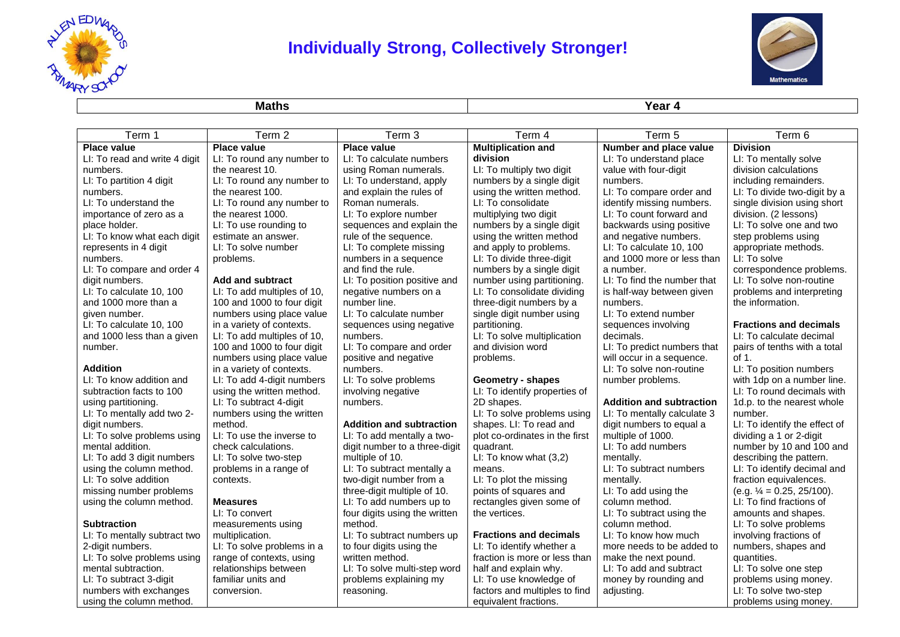

## **Individually Strong, Collectively Stronger!**



**Maths Year 4**

| Term 1                        | Term 2                      | Term 3                          | Term 4                         | Term 5                          | Term 6                        |
|-------------------------------|-----------------------------|---------------------------------|--------------------------------|---------------------------------|-------------------------------|
| <b>Place value</b>            | <b>Place value</b>          | <b>Place value</b>              | <b>Multiplication and</b>      | Number and place value          | <b>Division</b>               |
| LI: To read and write 4 digit | LI: To round any number to  | LI: To calculate numbers        | division                       | LI: To understand place         | LI: To mentally solve         |
| numbers.                      | the nearest 10.             | using Roman numerals.           | LI: To multiply two digit      | value with four-digit           | division calculations         |
| LI: To partition 4 digit      | LI: To round any number to  | LI: To understand, apply        | numbers by a single digit      | numbers.                        | including remainders.         |
| numbers.                      | the nearest 100.            | and explain the rules of        | using the written method.      | LI: To compare order and        | LI: To divide two-digit by a  |
| LI: To understand the         | LI: To round any number to  | Roman numerals.                 | LI: To consolidate             | identify missing numbers.       | single division using short   |
| importance of zero as a       | the nearest 1000.           | LI: To explore number           | multiplying two digit          | LI: To count forward and        | division. (2 lessons)         |
| place holder.                 | LI: To use rounding to      | sequences and explain the       | numbers by a single digit      | backwards using positive        | LI: To solve one and two      |
| LI: To know what each digit   | estimate an answer.         | rule of the sequence.           | using the written method       | and negative numbers.           | step problems using           |
| represents in 4 digit         | LI: To solve number         | LI: To complete missing         | and apply to problems.         | LI: To calculate 10, 100        | appropriate methods.          |
| numbers.                      | problems.                   | numbers in a sequence           | LI: To divide three-digit      | and 1000 more or less than      | LI: To solve                  |
| LI: To compare and order 4    |                             | and find the rule.              | numbers by a single digit      | a number.                       | correspondence problems.      |
| digit numbers.                | <b>Add and subtract</b>     | LI: To position positive and    | number using partitioning.     | LI: To find the number that     | LI: To solve non-routine      |
| LI: To calculate 10, 100      | LI: To add multiples of 10, | negative numbers on a           | LI: To consolidate dividing    | is half-way between given       | problems and interpreting     |
| and 1000 more than a          | 100 and 1000 to four digit  | number line.                    | three-digit numbers by a       | numbers.                        | the information.              |
| given number.                 | numbers using place value   | LI: To calculate number         | single digit number using      | LI: To extend number            |                               |
| LI: To calculate 10, 100      | in a variety of contexts.   | sequences using negative        | partitioning.                  | sequences involving             | <b>Fractions and decimals</b> |
| and 1000 less than a given    | LI: To add multiples of 10, | numbers.                        | LI: To solve multiplication    | decimals.                       | LI: To calculate decimal      |
| number.                       | 100 and 1000 to four digit  | LI: To compare and order        | and division word              | LI: To predict numbers that     | pairs of tenths with a total  |
|                               | numbers using place value   | positive and negative           | problems.                      | will occur in a sequence.       | of 1.                         |
| <b>Addition</b>               | in a variety of contexts.   | numbers.                        |                                | LI: To solve non-routine        | LI: To position numbers       |
| LI: To know addition and      | LI: To add 4-digit numbers  | LI: To solve problems           | <b>Geometry - shapes</b>       | number problems.                | with 1dp on a number line.    |
| subtraction facts to 100      | using the written method.   | involving negative              | LI: To identify properties of  |                                 | LI: To round decimals with    |
| using partitioning.           | LI: To subtract 4-digit     | numbers.                        | 2D shapes.                     | <b>Addition and subtraction</b> | 1d.p. to the nearest whole    |
| LI: To mentally add two 2-    | numbers using the written   |                                 | LI: To solve problems using    | LI: To mentally calculate 3     | number.                       |
| digit numbers.                | method.                     | <b>Addition and subtraction</b> | shapes. LI: To read and        | digit numbers to equal a        | LI: To identify the effect of |
| LI: To solve problems using   | LI: To use the inverse to   | LI: To add mentally a two-      | plot co-ordinates in the first | multiple of 1000.               | dividing a 1 or 2-digit       |
| mental addition.              | check calculations.         | digit number to a three-digit   | quadrant.                      | LI: To add numbers              | number by 10 and 100 and      |
| LI: To add 3 digit numbers    | LI: To solve two-step       | multiple of 10.                 | LI: To know what (3,2)         | mentally.                       | describing the pattern.       |
| using the column method.      | problems in a range of      | LI: To subtract mentally a      | means.                         | LI: To subtract numbers         | LI: To identify decimal and   |
| LI: To solve addition         | contexts.                   | two-digit number from a         | LI: To plot the missing        | mentally.                       | fraction equivalences.        |
| missing number problems       |                             | three-digit multiple of 10.     | points of squares and          | LI: To add using the            | $(e.g. 1/4 = 0.25, 25/100).$  |
| using the column method.      | <b>Measures</b>             | LI: To add numbers up to        | rectangles given some of       | column method.                  | LI: To find fractions of      |
|                               | LI: To convert              | four digits using the written   | the vertices.                  | LI: To subtract using the       | amounts and shapes.           |
| <b>Subtraction</b>            | measurements using          | method.                         |                                | column method.                  | LI: To solve problems         |
| LI: To mentally subtract two  | multiplication.             | LI: To subtract numbers up      | <b>Fractions and decimals</b>  | LI: To know how much            | involving fractions of        |
| 2-digit numbers.              | LI: To solve problems in a  | to four digits using the        | LI: To identify whether a      | more needs to be added to       | numbers, shapes and           |
| LI: To solve problems using   | range of contexts, using    | written method.                 | fraction is more or less than  | make the next pound.            | quantities.                   |
| mental subtraction.           | relationships between       | LI: To solve multi-step word    | half and explain why.          | LI: To add and subtract         | LI: To solve one step         |
| LI: To subtract 3-digit       | familiar units and          | problems explaining my          | LI: To use knowledge of        | money by rounding and           | problems using money.         |
| numbers with exchanges        | conversion.                 | reasoning.                      | factors and multiples to find  | adjusting.                      | LI: To solve two-step         |
| using the column method.      |                             |                                 | equivalent fractions.          |                                 | problems using money.         |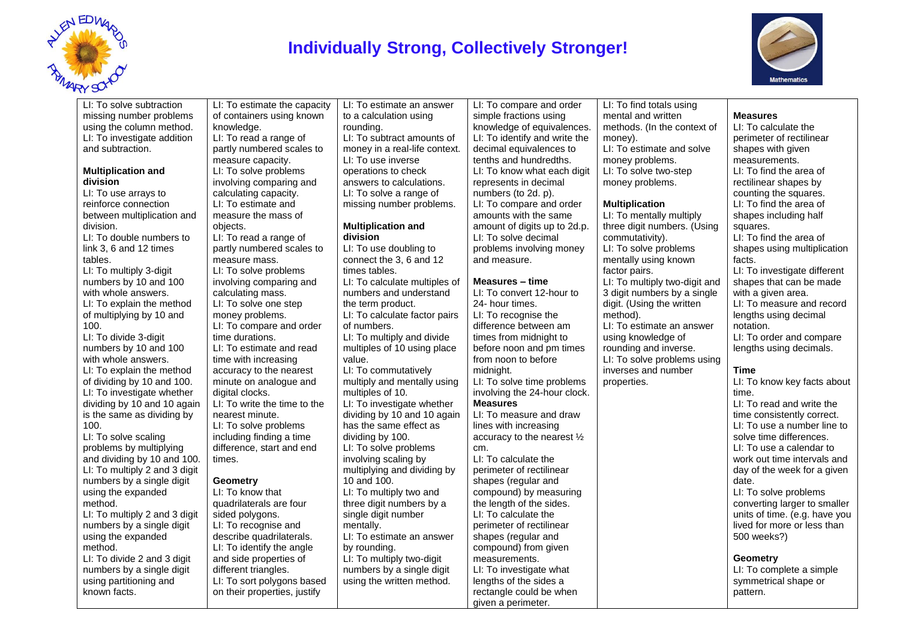

### **Individually Strong, Collectively Stronger!**



LI: To solve subtraction missing number problems using the column method. LI: To investigate addition and subtraction.

#### **Multiplication and division**

LI: To use arrays to reinforce connection between multiplication and division. LI: To double numbers to link 3, 6 and 12 times tables. LI: To multiply 3-digit numbers by 10 and 100 with whole answers. LI: To explain the method of multiplying by 10 and 100. LI: To divide 3-digit numbers by 10 and 100 with whole answers LI: To explain the method of dividing by 10 and 100. LI: To investigate whether dividing by 10 and 10 again is the same as dividing by 100. LI: To solve scaling

problems by multiplying and dividing by 10 and 100. LI: To multiply 2 and 3 digit numbers by a single digit using the expanded method. LI: To multiply 2 and 3 digit

numbers by a single digit using the expanded method. LI: To divide 2 and 3 digit

numbers by a single digit using partitioning and known facts.

LI: To estimate the capacity of containers using known knowledge. LI: To read a range of partly numbered scales to measure capacity. LI: To solve problems involving comparing and calculating capacity. LI: To estimate and measure the mass of objects. LI: To read a range of partly numbered scales to measure mass. LI: To solve problems involving comparing and calculating mass. LI: To solve one step money problems. LI: To compare and order time durations. LI: To estimate and read time with increasing accuracy to the nearest minute on analogue and digital clocks. LI: To write the time to the nearest minute. LI: To solve problems including finding a time difference, start and end times. **Geometry** LI: To know that quadrilaterals are four sided polygons. LI: To recognise and

describe quadrilaterals. LI: To identify the angle and side properties of different triangles. LI: To sort polygons based on their properties, justify

LI: To estimate an answer to a calculation using rounding. LI: To subtract amounts of money in a real-life context. LI: To use inverse operations to check answers to calculations. LI: To solve a range of missing number problems.

#### **Multiplication and division**

LI: To use doubling to connect the 3, 6 and 12 times tables. LI: To calculate multiples of numbers and understand the term product. LI: To calculate factor pairs of numbers. LI: To multiply and divide multiples of 10 using place value. LI: To commutatively multiply and mentally using multiples of 10. LI: To investigate whether dividing by 10 and 10 again has the same effect as dividing by 100. LI: To solve problems involving scaling by multiplying and dividing by 10 and 100. LI: To multiply two and three digit numbers by a single digit number mentally. LI: To estimate an answer by rounding. LI: To multiply two-digit numbers by a single digit using the written method.

LI: To compare and order simple fractions using knowledge of equivalences. LI: To identify and write the decimal equivalences to tenths and hundredths. LI: To know what each digit represents in decimal numbers (to 2d. p). LI: To compare and order amounts with the same amount of digits up to 2d.p. LI: To solve decimal problems involving money and measure.

#### **Measures – time**

LI: To convert 12-hour to 24- hour times. LI: To recognise the difference between am times from midnight to before noon and pm times from noon to before midnight. LI: To solve time problems involving the 24-hour clock. **Measures** LI: To measure and draw lines with increasing accuracy to the nearest ½ cm. LI: To calculate the perimeter of rectilinear shapes (regular and compound) by measuring the length of the sides. LI: To calculate the perimeter of rectilinear shapes (regular and compound) from given measurements. LI: To investigate what lengths of the sides a rectangle could be when given a perimeter.

LI: To find totals using mental and written methods. (In the context of money). LI: To estimate and solve money problems. LI: To solve two-step money problems. **Multiplication**

LI: To mentally multiply three digit numbers. (Using commutativity). LI: To solve problems mentally using known factor pairs. LI: To multiply two-digit and 3 digit numbers by a single digit. (Using the written method). LI: To estimate an answer using knowledge of rounding and inverse. LI: To solve problems using inverses and number properties.

### **Measures**

LI: To calculate the perimeter of rectilinear shapes with given measurements. LI: To find the area of rectilinear shapes by counting the squares. LI: To find the area of shapes including half squares. LI: To find the area of shapes using multiplication facts. LI: To investigate different shapes that can be made with a given area. LI: To measure and record lengths using decimal notation. LI: To order and compare lengths using decimals. **Time** LI: To know key facts about time. LI: To read and write the time consistently correct. LI: To use a number line to solve time differences. LI: To use a calendar to work out time intervals and day of the week for a given

### date.

LI: To solve problems converting larger to smaller units of time. (e.g. have you lived for more or less than 500 weeks?)

### **Geometry**

LI: To complete a simple symmetrical shape or pattern.